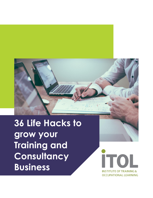## **36 Life Hacks to grow your Training and Consultancy Business**

**İTO INSTITUTE OF TRAINING & OCCUPATIONAL LEARNING**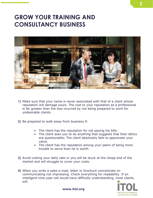## **GROW YOUR TRAINING AND CONSULTANCY BUSINESS**



- **1)** Make sure that your name is never associated with that of a client whose reputation will damage yours. The cost to your reputation as a professional is far greater than the loss incurred by not being prepared to work for undesirable clients.
- **2)** Be prepared to walk away from business if:
	- The client has the reputation for not paying his bills.
	- The client asks you to do anything that suggests that their ethics are questionable; The client absolutely fails to appreciate your value.
	- The client has the reputation among your peers of being more trouble to serve than he is worth.
- **3)** Avoid cutting your daily rate or you will be stuck at the cheap end of the market and will struggle to cover your costs.
- **4)** When you write a sales e-mail, letter or brochure concentrate on communicating not impressing. Check everything for readability. If an intelligent nine-year-old would have difficulty understanding, most clients will.

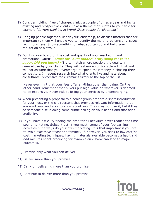- **5)** Consider holding, free of charge, clinics a couple of times a year and invite existing and prospective clients. Take a theme that relates to your field for example *"Current thinking in World Class people development"*
- **6)** Bringing people together, under your leadership, to discuss matters that are important to them will enable you to identify the major problems and issues facing business. Show something of what you can do and build your reputation at a stroke.
- **7)** Don't go overboard on the cost and quality of your marketing and promotional **BUMF -** *Short for "bum fodder" army slang for toilet paper. Did you know? -* Try to match where possible the quality in general use by your clients. They will feel more comfortable with that and will not assume that you overcharge to spend their money in chasing their competitors. In recent research into what clients like and hate about consultants, "excessive fees" remains firmly at the top of the list.

Never even hint that your fees offer anything other than value. On the other hand, remember that buyers put high value on whatever is deemed to be expensive. Never risk belittling your services by undercharging.

- **8)** When presenting a proposal to a senior group prepare a short introduction for your host, or the chairperson, that provides relevant information that you want your audience to know about you. They may not use it, but if they do someone else is doing some subtle selling on your behalf and that adds credibility.
- **9)** If you have difficulty finding the time for all activities never reduce the time spent marketing. Subcontract, if you must, some of your fee-earning activities but always do your own marketing. It is that important if you are to avoid excessive "feast and famine". If, however, you stick to low cost/no cost marketing techniques, having materials available becomes a habit and odd minutes spent producing for example an e-book can lead to major outcomes.
- **10)** Promise only what you can deliver!
- **11)** Deliver more than you promise!
- **12)** Carry on delivering more than you promise!
- **13)** Continue to deliver more than you promise!

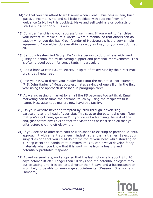- **14)** So that you can afford to walk away when client business is lean, build passive income. Write and sell little booklets with succinct "how to" guidance (a bit like this booklet). Make and sell webinars or podcasts or start a subscription VIP Group.
- **15)** Consider franchising your successful seminars. If you want to franchise your best stuff, make sure it works. Write a manual so that others can do exactly what you do. Ray Kroc, founder of MacDonald's had a very simple agreement: "You either do everything exactly as I say, or you don't do it at all."
- **16)** Set up a Mastermind Group. Be "a nice person to do business with" and justify an annual fee by delivering support and personal improvements. This is often a good option for consultants in particular.
- **17)** Add a handwritten P.S. to letters. In spite of its overuse by the direct mail pro's it still gets read.
- **18)** Use your P.S. to direct your reader back into the main text. For example, "P.S. John Harley of Megabucks estimates savings of one zillion in the first year using the approach described in paragraph three."
- **19)** As we increasingly market by email the PS becomes too artificial. Email marketing can assume the personal touch by using the recipients first name. Most automatic mailers now have this facility.
- **20)** On your website never be tempted by 'click through' advertising, particularly at the head of your site. This says to the potential client; "Now that you've got here, go away!" If you do sell advertising, have it at the end, just before any links so that the visitor has at least seen all that you offer before clicking off elsewhere.
- **21)** If you decide to offer seminars or workshops to existing or potential clients, approach it with an entrepreneur mindset rather than a trainer. Select your subject as one that you could do off the top of your head while standing on it. Keep costs and handouts to a minimum. You can always develop fancy materials when you know that it is worthwhile from a healthy and potentially profitable response.
- **22)** Advertise seminars/workshops so that the last notice falls about 8 to 10 days before "lift off". Longer than 10 days and the potential delegate may put off acting until it is too late. Shorter than 8 days and a businessperson is unlikely to be able to re-arrange appointments. (Research Shenson and Lambert.)

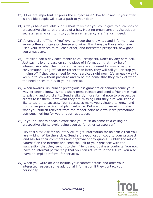- **23)** Titles are important. Express the subject as a "How to…" and, if your offer is credible people will beat a path to your door.
- **24)** Always have available 2 or 3 short talks that you could give to audiences of prospective clients at the drop of a hat. Meeting organisers and Association secretaries who can turn to you in an emergency are friends indeed.
- **25)** Arrange client "Thank You" events. Keep them low key and informal, just serve coffee and cake or cheese and wine. It will enable those who have used your services to tell each other, and interested prospects, how good you always are.
- **26)** Set aside half a day each month to call prospects. Don't try any hard sell. Just say hello and pass on some piece of information that may be of interest. Ask what the important issues are at present by way of natural conversation. Ring off earlier rather than later, they will call you or stop you ringing off if they see a need for your services right now. It's an easy way to keep in touch without pressure and to be the name that they think of when the need arises to buy in your expertise.
- **27)** When awards, unusual or prestigious assignments or honours come your way let people know. Write a short press release and send a friendly e-mail to existing and old clients. Send a slightly more formal note to prospective clients to let them know what they are missing until they hire you. People like to tag on to success. Your successes make you valuable to know, and from a fee perspective just plain valuable. But a word of warning, make what you publish relevant from the reader point of view. Mere promotional puff does nothing for you or your reputation.
- **28)** If your business needs dictate that you must do some cold calling on prospective clients avoid being seen as "another salesperson".

Try this ploy! Ask for an interview to get information for an article that you are writing. Write the article. Send a pre-publication copy to your prospect and ask for their comments and approval of any quotes. Publish the article yourself on the internet and send the link to your prospect with the suggestion that they send it to their friends and business contacts. You now have an informal partnership that you can return to in the future. You also have an implied referral for services.

**29)** When you write articles include your contact details and offer your interested readers some additional information if they contact you personally.



**5**